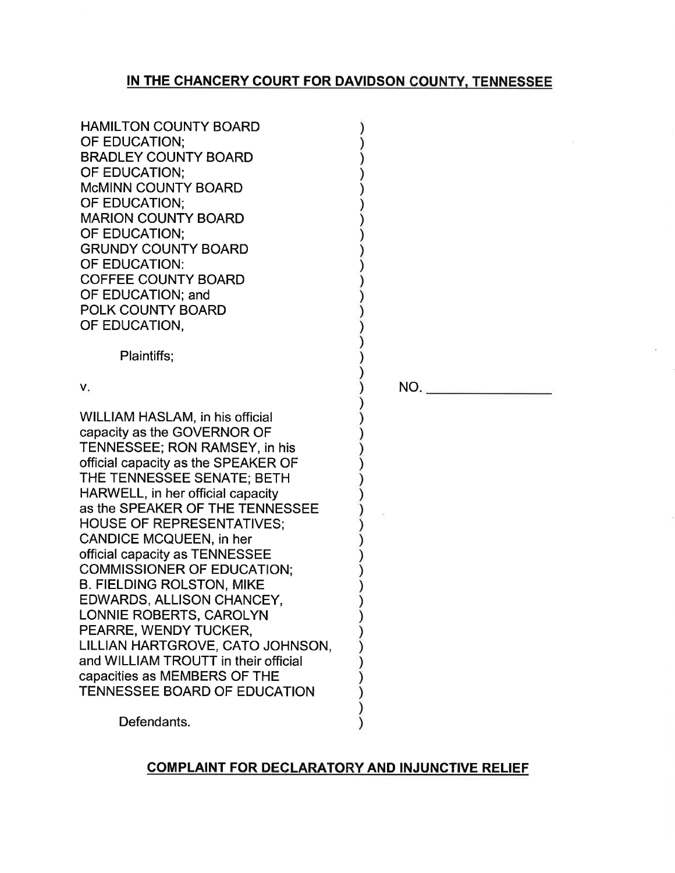# IN THE CHANCERY COURT FOR DAVIDSON COUNTY, TENNESSEE

| <b>HAMILTON COUNTY BOARD</b>                                      |  |
|-------------------------------------------------------------------|--|
| OF EDUCATION:                                                     |  |
| <b>BRADLEY COUNTY BOARD</b>                                       |  |
| OF EDUCATION;                                                     |  |
| <b>McMINN COUNTY BOARD</b>                                        |  |
| OF EDUCATION:                                                     |  |
| <b>MARION COUNTY BOARD</b>                                        |  |
| OF EDUCATION;                                                     |  |
| <b>GRUNDY COUNTY BOARD</b>                                        |  |
| OF EDUCATION:                                                     |  |
| <b>COFFEE COUNTY BOARD</b>                                        |  |
| OF EDUCATION; and                                                 |  |
| POLK COUNTY BOARD                                                 |  |
| OF EDUCATION,                                                     |  |
|                                                                   |  |
| Plaintiffs;                                                       |  |
|                                                                   |  |
| V.                                                                |  |
|                                                                   |  |
| WILLIAM HASLAM, in his official                                   |  |
| capacity as the GOVERNOR OF<br>TENNESSEE; RON RAMSEY, in his      |  |
|                                                                   |  |
| official capacity as the SPEAKER OF<br>THE TENNESSEE SENATE; BETH |  |
| HARWELL, in her official capacity                                 |  |
| as the SPEAKER OF THE TENNESSEE                                   |  |
| <b>HOUSE OF REPRESENTATIVES;</b>                                  |  |
| <b>CANDICE MCQUEEN, in her</b>                                    |  |
| official capacity as TENNESSEE                                    |  |
| <b>COMMISSIONER OF EDUCATION:</b>                                 |  |
| <b>B. FIELDING ROLSTON, MIKE</b>                                  |  |
| EDWARDS, ALLISON CHANCEY,                                         |  |
| LONNIE ROBERTS, CAROLYN                                           |  |
| PEARRE, WENDY TUCKER,                                             |  |
| LILLIAN HARTGROVE, CATO JOHNSON,                                  |  |
| and WILLIAM TROUTT in their official                              |  |
| capacities as MEMBERS OF THE                                      |  |
| TENNESSEE BOARD OF EDUCATION                                      |  |
|                                                                   |  |

NO.

Defendants.

## COMPLAINT FOR DECLARATORY AND INJUNCTIVE RELIEF

 $\mathcal{C}^{\prime}$  $\lambda$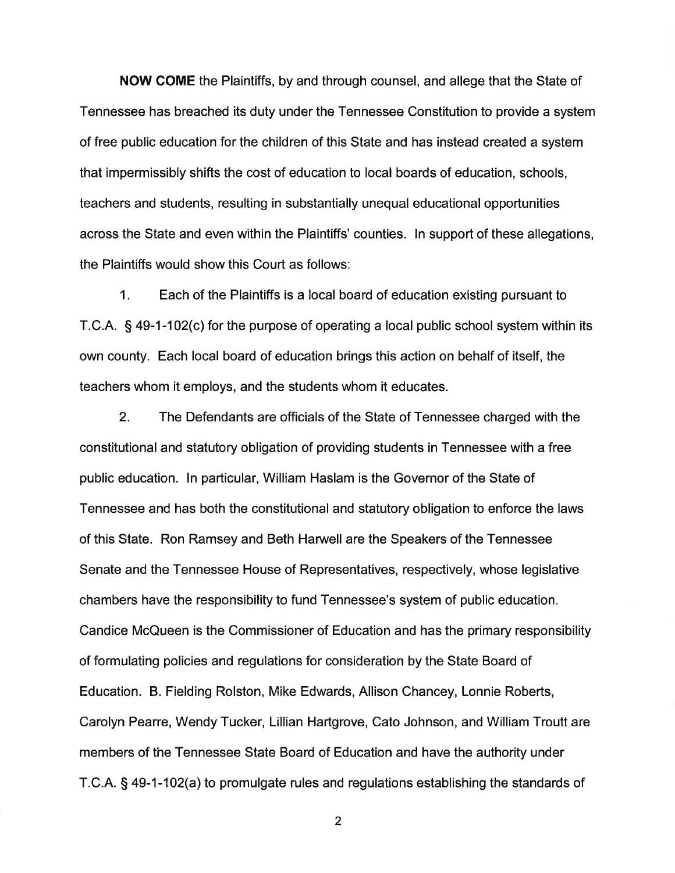NOW COME the Plaintiffs, by and through counsel, and allege that the State of Tennessee has breached its duty under the Tennessee Constitution to provide a system of free public education for the children of this State and has instead created a system that ímpermissibly shifts the cost of education to local boards of education, schools, teachers and students, resulting in substantially unequal educational opportunities across the State and even within the Plaintiffs' counties. In support of these allegations, the Plaintiffs would show this Court as follows:

1. Each of the Plaintiffs is a local board of education existing pursuant to T.C.A. S 49-1 -102(c) for the purpose of operating a local public school system within its own county. Each local board of education brings this action on behalf of itself, the teachers whom it employs, and the students whom it educates.

2. The Defendants are officials of the State of Tennessee charged with the constitutional and statutory obligation of providing students in Tennessee with a free public education. ln particular, William Haslam is the Governor of the State of Tennessee and has both the constitutional and statutory obligation to enforce the laws of this State. Ron Ramsey and Beth Harwell are the Speakers of the Tennessee Senate and the Tennessee House of Representatives, respectively, whose legislative chambers have the responsibility to fund Tennessee's system of public education. Candice McQueen is the Commissioner of Education and has the primary responsibility of formulating policies and regulations for consideration by the State Board of Education. B. Fielding Rolston, Mike Edwards, Allison Chancey, Lonnie Roberts, Carolyn Pearre, Wendy Tucker, Lillian Hartgrove, Cato Johnson, and William Troutt are members of the Tennessee State Board of Education and have the authority under T.C.A. S 49-1-102(a) to promulgate rules and regulations establishing the standards of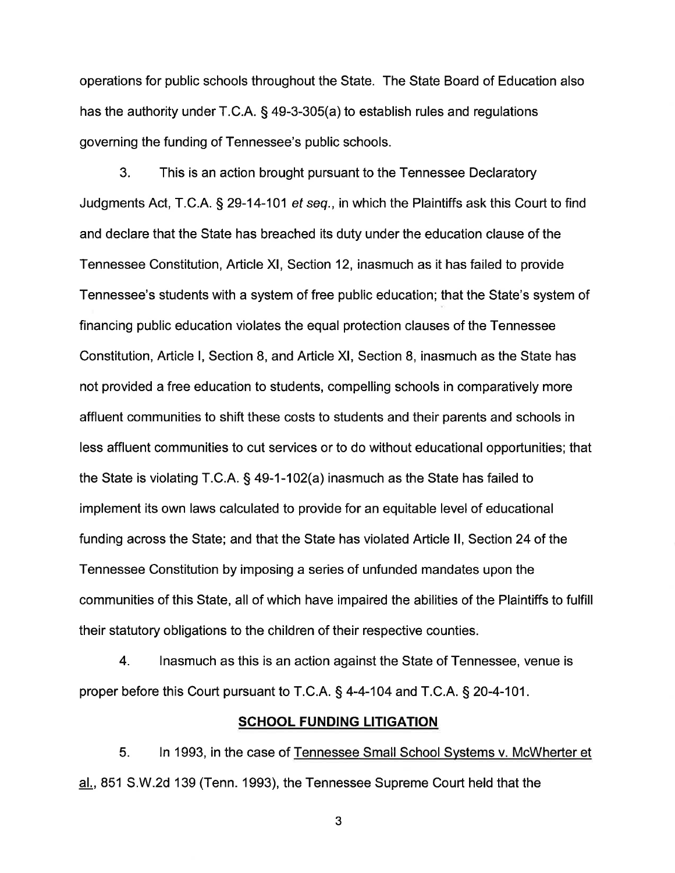operations for public schools throughout the State. The State Board of Education also has the authority under T.C.A. § 49-3-305(a) to establish rules and regulations governing the funding of Tennessee's public schools.

3. This is an action brought pursuant to the Tennessee Declaratory Judgments Act, T.C.A. § 29-14-101 et seq., in which the Plaintiffs ask this Court to find and declare that the State has breached its duty under the education clause of the Tennessee Constitution, Article Xl, Section 12, inasmuch as it has failed to provide Tennessee's students with a system of free public education; that the State's system of financing public education violates the equal protection clauses of the Tennessee Constitution, Article l, Section 8, and Article Xl, Section 8, inasmuch as the State has not provided a free education to students, compelling schools in comparatively more affluent communities to shift these costs to students and their parents and schools in less affluent communities to cut services or to do without educational opportunities; that the State is violating T.C.A. S 49-1 -102(a) inasmuch as the State has failed to implement its own laws calculated to provide for an equitable level of educational funding across the State; and that the State has violated Article ll, Section 24 of the Tennessee Constitution by imposing a series of unfunded mandates upon the communities of this State, all of which have impaired the abilities of the Plaintiffs to fulfill their statutory obligations to the children of their respective counties.

4. lnasmuch as this is an action against the State of Tennessee, venue is proper before this Court pursuant to T.C.A. § 4-4-104 and T.C.A. § 20-4-101.

### **SCHOOL FUNDING LITIGATION**

5. ln 1993, in the case of Tennessee Small School Systems v. McWherter et al., 851 S.W.2d 139 (Tenn. 1993), the Tennessee Supreme Court held that the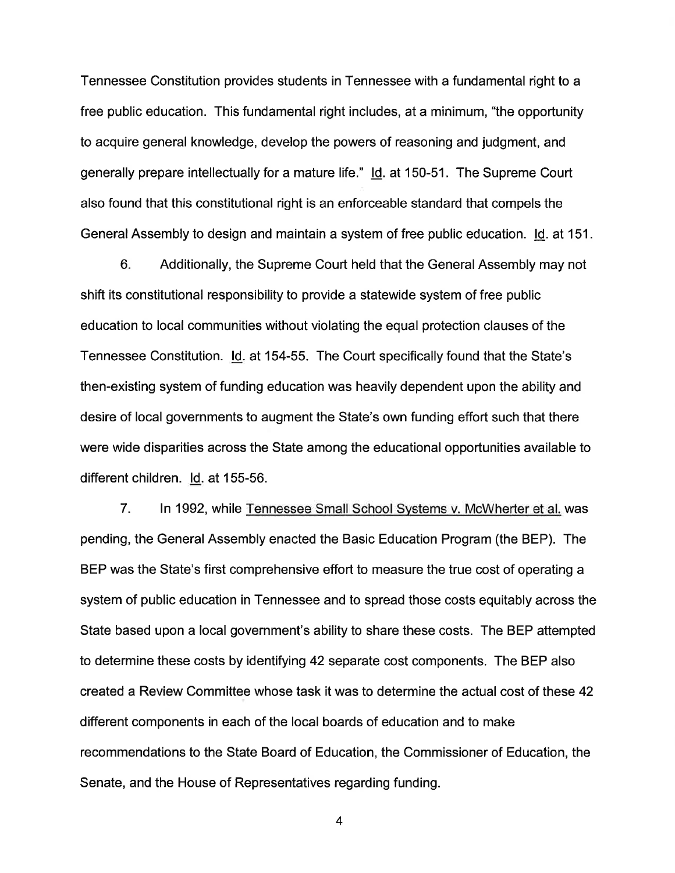Tennessee Constitution provides students in Tennessee with a fundamental right to a free public education. This fundamental right includes, at a minimum, "the opportunity to acquire general knowledge, develop the powers of reasoning and judgment, and generally prepare intellectually for a mature life." ld. at 150-51. The Supreme Court also found that this constitutional right is an enforceable standard that compels the General Assembly to design and maintain a system of free public education. ld. at 151.

6. Additionally, the Supreme Court held that the General Assembly may not shift its constitutional responsibility to provide a statewide system of free public education to local communities without violating the equal protection clauses of the Tennessee Constitution. ld. at 154-55. The Court specifically found that the State's then-existing system of funding education was heavily dependent upon the ability and desire of local governments to augment the State's own funding effort such that there were wide disparities across the State among the educational opportunities available to different children. ld. at 155-56.

7. ln 1992, while Tennessee Small School Svstems v. McWherter et al. was pending, the General Assembly enacted the Basic Education Program (the BEP). The BEP was the State's first comprehensive effort to measure the true cost of operating a system of public education in Tennessee and to spread those costs equitably across the State based upon a local government's ability to share these costs. The BEP attempted to determine these costs by identifying 42 separate cost components. The BEP also created a Review Committee whose task it was to determine the actual cost of these 42 different components in each of the local boards of education and to make recommendations to the State Board of Education, the Commissioner of Education, the Senate, and the House of Representatives regarding funding.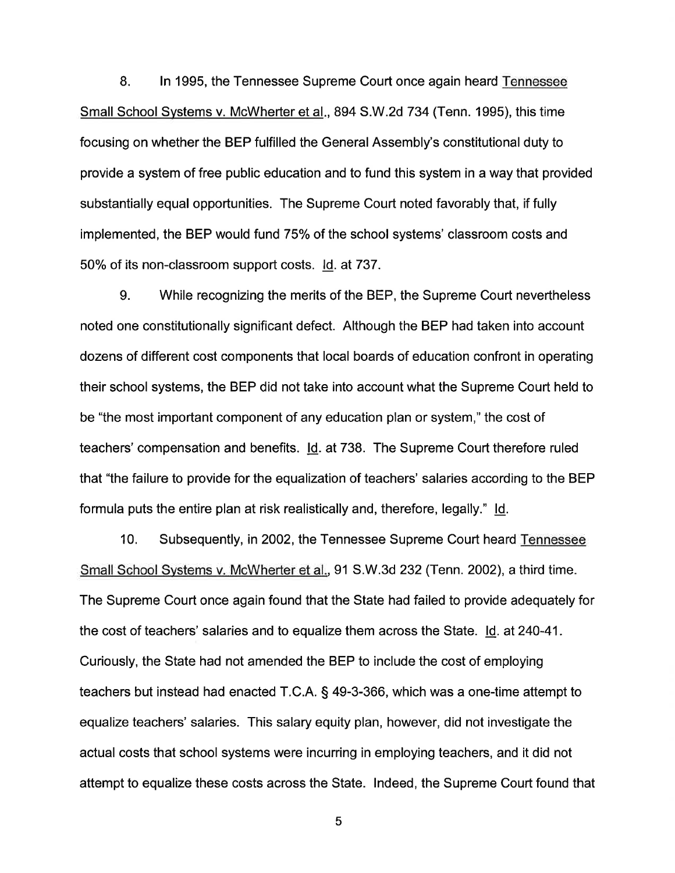8. ln 1995, the Tennessee Supreme Court once again heard Tennessee Small School Systems v. McWherter et al., 894 S.W.2d 734 (Tenn. 1995), this time focusing on whether the BEP fulfilled the General Assembly's constitutional duty to provide a system of free public education and to fund this system in a way that provided substantially equal opportunities. The Supreme Court noted favorably that, if fully implemented, the BEP would fund 75% of the school systems' classroom costs and 50% of its non-classroom support costs. ld. at 737.

9. While recognizing the merits of the BEP, the Supreme Court nevertheless noted one constitutionally significant defect. Although the BEP had taken into account dozens of different cost components that local boards of education confront in operating their school systems, the BEP did not take into account what the Supreme Court held to be "the most important component of any education plan or system," the cost of teachers' compensation and benefits. ld. at 738. The Supreme Court therefore ruled that "the failure to provide for the equalization of teachers' salaries according to the BEP formula puts the entire plan at risk realistically and, therefore, legally." ld.

10. Subsequently, in 2OO2, the Tennessee Supreme Court heard Tennessee Small School Svstems v. McWherter et al., 91 S.W.3d 232 (Tenn. 2002), a third time. The Supreme Court once again found that the State had failed to provide adequately for the cost of teachers' salaries and to equalize them across the State. Id. at 240-41. Curiously, the State had not amended the BEP to include the cost of employing teachers but instead had enacted T.C.A. S 49-3-366, which was a one-time attempt to equalize teachers' salaries. This salary equity plan, however, did not investigate the actual costs that school systems were incurring in employing teachers, and it did not attempt to equalize these costs across the State. Indeed, the Supreme Court found that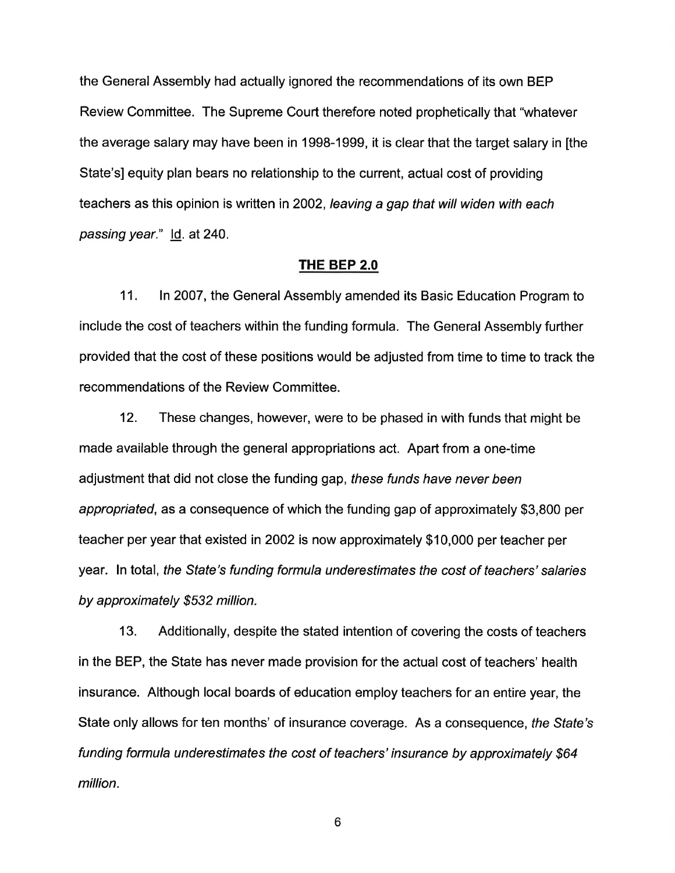the General Assembly had actually ignored the recommendations of its own BEP Review Committee. The Supreme Court therefore noted prophetically that "whatever the average salary may have been in 1998-1999, it is clear that the target salary in [the State'sl equity plan bears no relationship to the current, actual cost of providing teachers as this opinion is written in 2002, leaving a gap that will widen with each passing year." Id. at 240.

### THE BEP 2.0

11. ln 2007, the General Assembly amended its Basic Education Program to include the cost of teachers within the funding formula. The General Assembly further provided that the cost of these positions would be adjusted from time to time to track the recommendations of the Review Committee.

12. These changes, however, were to be phased in with funds that might be made available through the general appropriations act. Apart from a one-time adjustment that did not close the funding gap, these funds have never been appropriafed, as a consequence of which the funding gap of approximately \$3,800 per teacher per year that existed in 2002 is now approximately \$10,000 per teacher per year. In total, the State's funding formula underestimates the cost of teachers' salaries by approximately \$532 million.

13. Additionally, despite the stated intention of covering the costs of teachers in the BEP, the State has never made provision for the actual cost of teachers' health insurance. Although local boards of education employ teachers for an entire year, the State only allows for ten months' of insurance coverage. As a consequence, fhe Sfafe's fundíng formula underestimates the cosf of teachers' insurance by approximately \$64 million.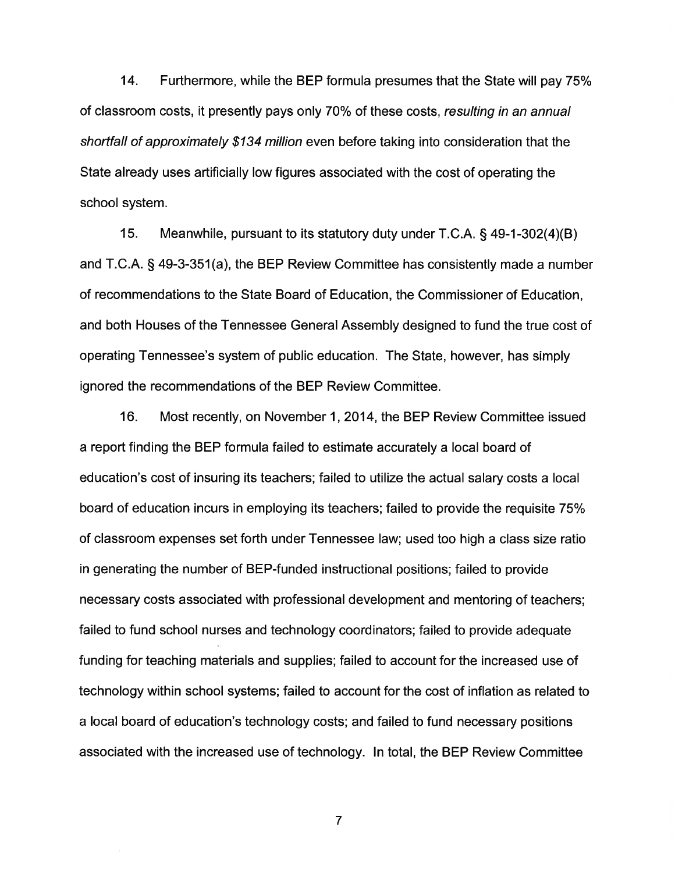14. Furthermore, while the BEP formula presumes that the State will pay 75% of classroom costs, it presently pays only 70% of these costs, resulting in an annual shortfall of approximately \$134 million even before taking into consideration that the State already uses artificially low figures associated with the cost of operating the school system.

15. Meanwhile, pursuant to its statutory duty under T.C.A. § 49-1-302(4)(B) and T.C.A. S 49-3-351(a), the BEP Review Committee has consistently made a number of recommendations to the State Board of Education, the Commissioner of Education, and both Houses of the Tennessee General Assembly designed to fund the true cost of operating Tennessee's system of public education. The State, however, has simply ignored the recommendations of the BEP Review Committee.

16. Most recently, on November 1,2014, the BEP Review Committee issued a report finding the BEP formula failed to estimate accurately a local board of education's cost of insuring its teachers; failed to utilize the actual salary costs a local board of education incurs in employing its teachers; failed to provide the requisite 75% of classroom expenses set forth under Tennessee law; used too high a class size ratio in generating the number of BEP-funded instructional positions; failed to provide necessary costs associated with professional development and mentoring of teachers; failed to fund school nurses and technology coordinators; failed to provide adequate funding for teaching materials and supplies; failed to account for the increased use of technology within school systems; failed to account for the cost of inflation as related to a local board of education's technology costs; and failed to fund necessary positions associated with the increased use of technology. ln total, the BEP Review Committee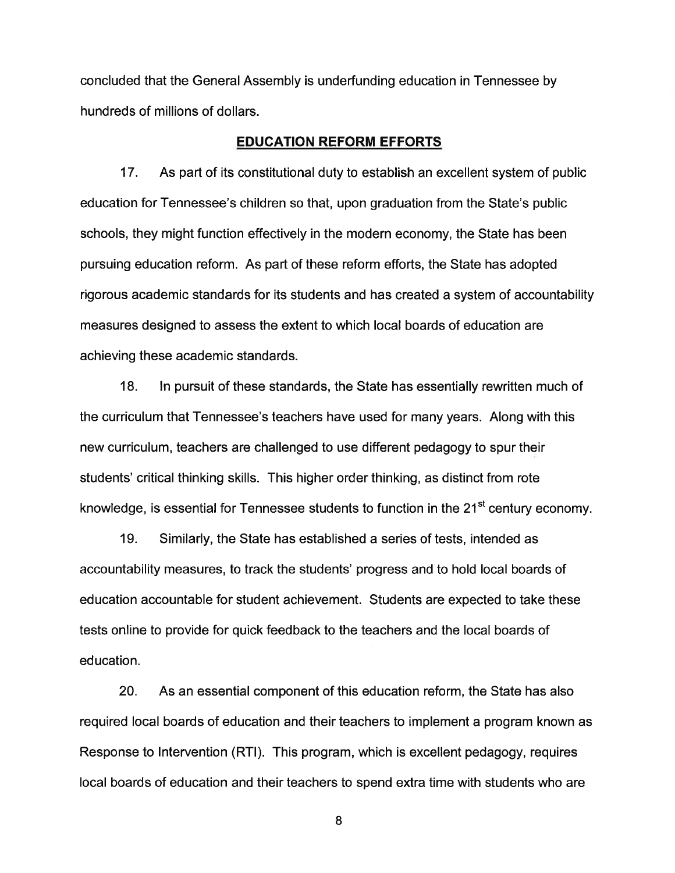concluded that the General Assembly is underfunding education in Tennessee by hundreds of millions of dollars.

### EDUCATION REFORM EFFORTS

17. As part of its constitutional duty to establish an excellent system of public education for Tennessee's children so that, upon graduation from the State's public schools, they might function effectively in the modern economy, the State has been pursuing education reform. As part of these reform efforts, the State has adopted rigorous academic standards for its students and has created a system of accountability measures designed to assess the extent to which local boards of education are achieving these academic standards.

18. ln pursuit of these standards, the State has essentially rewritten much of the curriculum that Tennessee's teachers have used for many years. Along with this new curriculum, teachers are challenged to use different pedagogy to spur their students' critical thinking skills. This higher order thinking, as distinct from rote knowledge, is essential for Tennessee students to function in the 21<sup>st</sup> century economy.

19. Similarly, the State has established a series of tests, intended as accountability measures, to track the students' progress and to hold local boards of education accountable for student achievement. Students are expected to take these tests online to provide for quick feedback to the teachers and the local boards of education.

20. As an essential component of this education reform, the State has also required local boards of education and their teachers to implement a program known as Response to lntervention (RTl). This program, which is excellent pedagogy, requires local boards of education and their teachers to spend extra time with students who are

I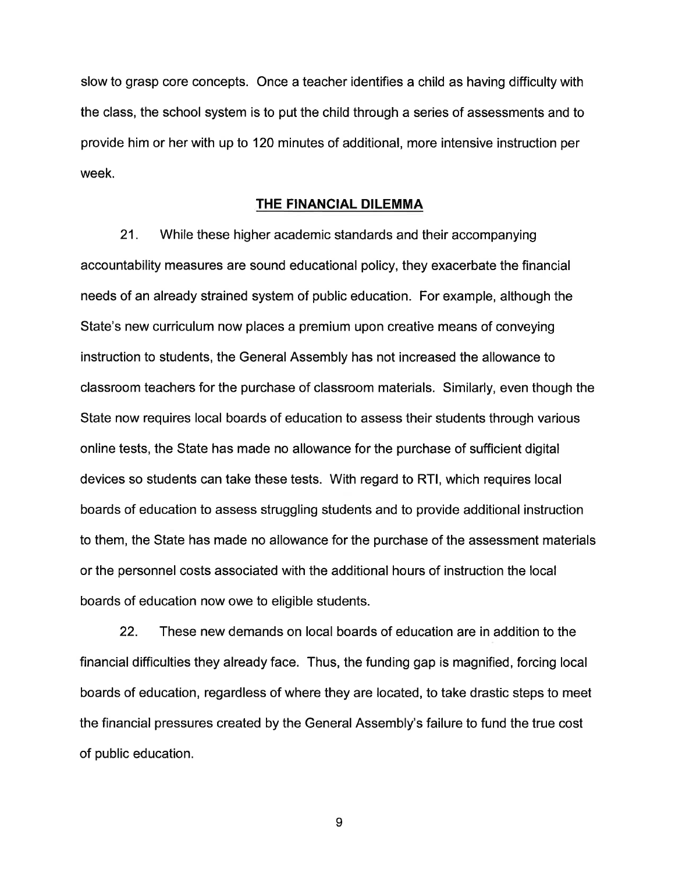slow to grasp core concepts. Once a teacher identifies a child as having difficulty with the class, the school system is to put the child through a series of assessments and to provide him or her with up to 120 minutes of additional, more intensive instruction per week.

### THE FINANCIAL DILEMMA

21. While these higher academic standards and their accompanying accountability measures are sound educational policy, they exacerbate the financial needs of an already strained system of public education. For example, although the State's new curriculum now places a premium upon creative means of conveying instruction to students, the General Assembly has not increased the allowance to classroom teachers for the purchase of classroom materials. Similarly, even though the State now requires local boards of education to assess their students through various online tests, the State has made no allowance for the purchase of sufficient digital devices so students can take these tests. With regard to RTl, which requires local boards of education to assess struggling students and to provide additional instruction to them, the State has made no allowance for the purchase of the assessment materials or the personnel costs associated with the additional hours of instruction the local boards of education now owe to eligible students.

22. These new demands on local boards of education are in addition to the financial difficulties they already face. Thus, the funding gap is magnified, forcing local boards of education, regardless of where they are located, to take drastic steps to meet the financial pressures created by the General Assembly's failure to fund the true cost of public education.

I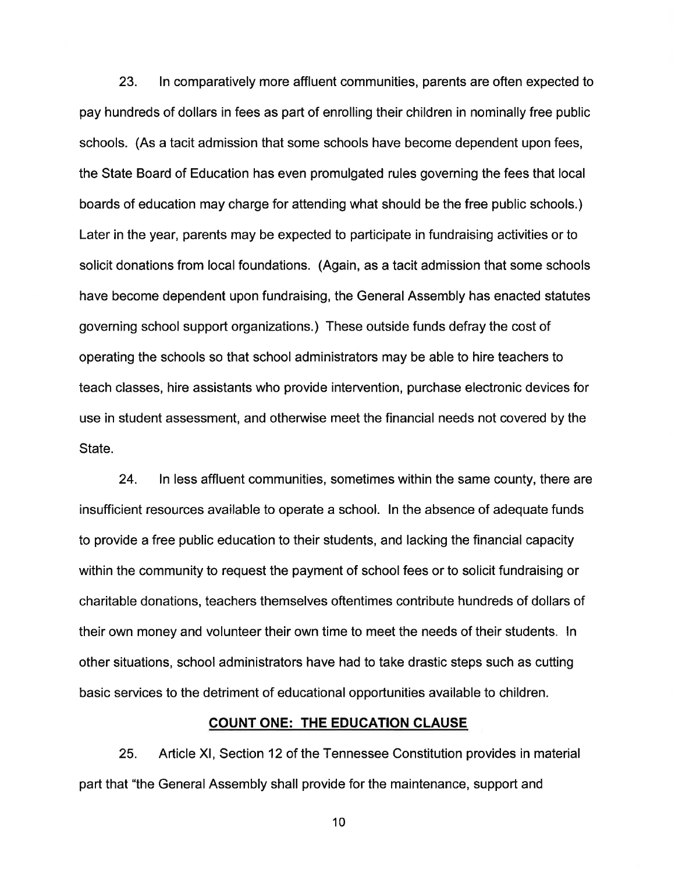23. ln comparatively more affluent communities, parents are often expected to pay hundreds of dollars in fees as part of enrolling their children in nominally free public schools. (As a tacit admission that some schools have become dependent upon fees, the State Board of Education has even promulgated rules governing the fees that local boards of education may charge for attending what should be the free public schools.) Later in the year, parents may be expected to participate in fundraising activities or to solicit donations from local foundations. (Again, as a tacit admission that some schools have become dependent upon fundraising, the General Assembly has enacted statutes governing school support organizations.) These outside funds defray the cost of operating the schools so that school administrators may be able to hire teachers to teach classes, hire assistants who provide intervention, purchase electronic devices for use in student assessment, and otherwise meet the financial needs not covered by the State.

24. ln less affluent communities, sometimes within the same county, there are insufficient resources available to operate a school. In the absence of adequate funds to provide a free public education to their students, and lacking the financial capacity within the community to request the payment of school fees or to solicit fundraising or charitable donations, teachers themselves oftentimes contribute hundreds of dollars of their own money and volunteer their own time to meet the needs of their students. ln other situations, school administrators have had to take drastic steps such as cutting basic services to the detriment of educational opportunities available to children.

## COUNT ONE: THE EDUCATION CLAUSE

25. Article Xl, Section 12 of the Tennessee Constitution provides in material part that "the General Assembly shall provide for the maintenance, support and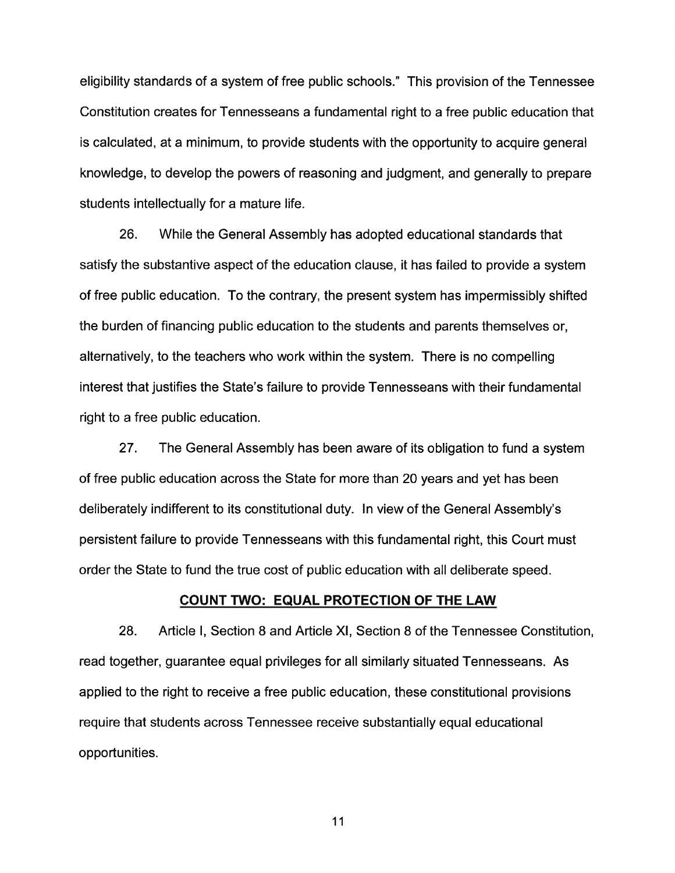eligibility standards of a system of free public schools." This provision of the Tennessee Constitution creates for Tennesseans a fundamental right to a free public education that is calculated, at a minimum, to provide students with the opportunity to acquire general knowledge, to develop the powers of reasoning and judgment, and generally to prepare students intellectually for a mature life.

26. While the General Assembly has adopted educational standards that satisfy the substantive aspect of the education clause, it has failed to provide a system of free public education. To the contrary, the present system has impermissibly shifted the burden of financing public education to the students and parents themselves or, alternatively, to the teachers who work within the system. There is no compelling interest that justifies the State's failure to provide Tennesseans with their fundamental right to a free public education.

27. The General Assembly has been aware of its obligation to fund a system of free public education across the State for more than 20 years and yet has been deliberately indifferent to its constitutional duty. ln view of the General Assembly's persistent failure to provide Tennesseans with this fundamental right, this Court must order the State to fund the true cost of public education with all deliberate speed.

### COUNT TWO: EQUAL PROTECTION OF THE LAW

28. Article l, Section 8 and Article Xl, Section 8 of the Tennessee Constitution, read together, guarantee equal privileges for all similarly situated Tennesseans. As applied to the right to receive a free public education, these constitutional provisions require that students across Tennessee receive substantially equal educational opportunities.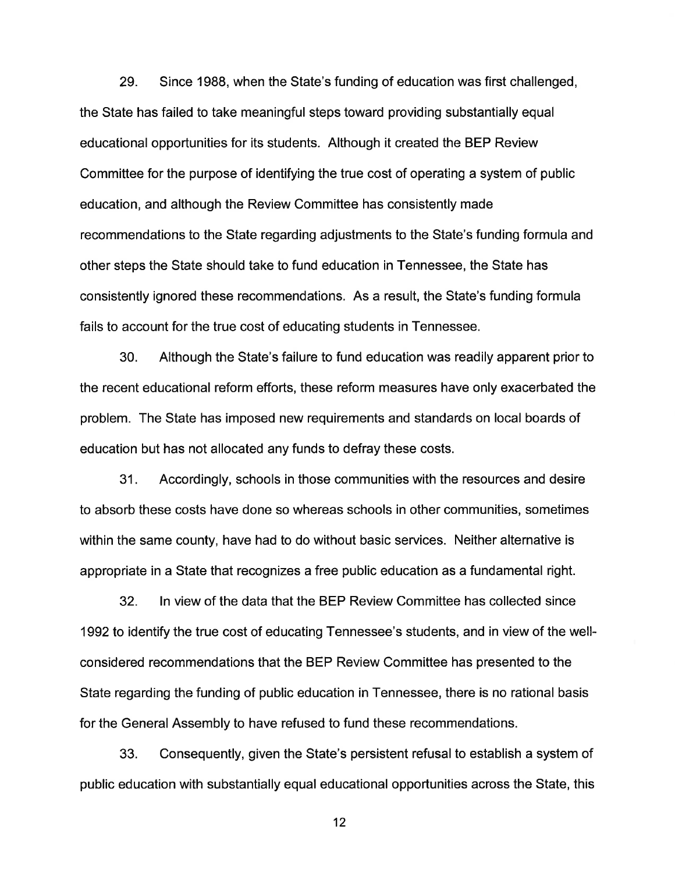29. Since 1988, when the State's funding of education was first challenged, the State has failed to take meaningful steps toward providing substantially equal educational opportunities for its students. Although it created the BEP Review Committee for the purpose of identifying the true cost of operating a system of public education, and although the Review Committee has consistently made recommendations to the State regarding adjustments to the State's funding formula and other steps the State should take to fund education in Tennessee, the State has consistently ignored these recommendations. As a result, the State's funding formula fails to account for the true cost of educating students in Tennessee.

30. Although the State's failure to fund education was readily apparent prior to the recent educational reform efforts, these reform measures have only exacerbated the problem. The State has imposed new requirements and standards on local boards of education but has not allocated any funds to defray these costs.

31. Accordingly, schools in those communities with the resources and desire to absorb these costs have done so whereas schools in other communities, sometimes within the same county, have had to do without basic services. Neither alternative is appropriate in a State that recognizes a free public education as a fundamental right.

32. ln view of the data that the BEP Review Committee has collected since 1992 to identify the true cost of educating Tennessee's students, and in view of the wellconsidered recommendations that the BEP Review Committee has presented to the State regarding the funding of public education in Tennessee, there is no rational basis for the General Assembly to have refused to fund these recommendations.

33. Consequently, given the State's persistent refusal to establish a system of public education with substantially equal educational opportunities across the State, this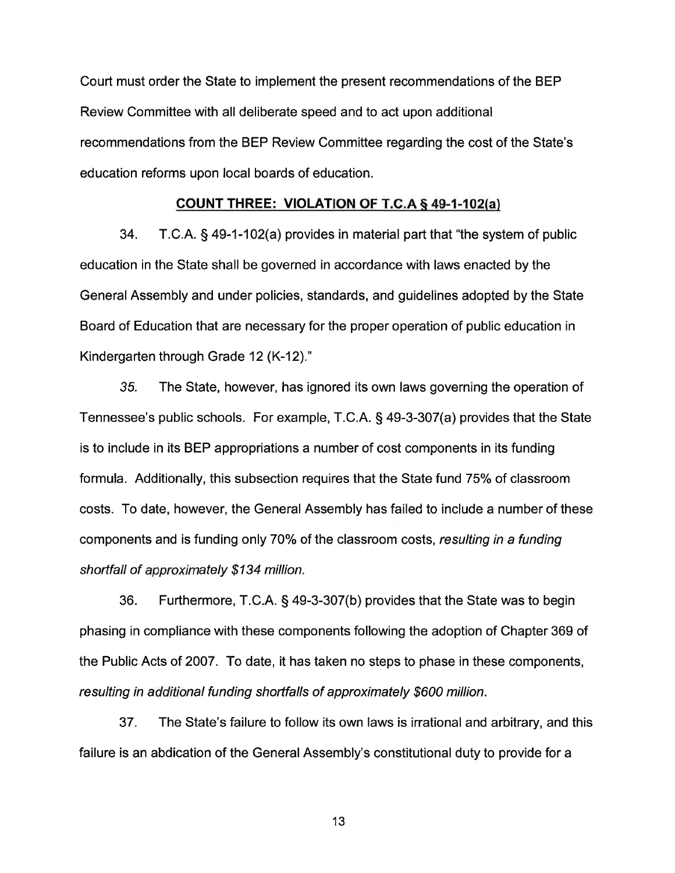Court must order the State to implement the present recommendations of the BEP Review Committee with all deliberate speed and to act upon additional recommendations from the BEP Review Committee regarding the cost of the State's education reforms upon local boards of education.

### GOUNT THREE: VIOLATION OF T.G.A S 49-1-102(a)

34. T.C.A. § 49-1-102(a) provides in material part that "the system of public education in the State shall be governed in accordance with laws enacted by the General Assembly and under policies, standards, and guidelines adopted by the State Board of Education that are necessary for the proper operation of public education in Kindergarten through Grade 12 (K-12)."

35. The State, however, has ignored its own laws governing the operation of Tennessee's public schools. For example, T.C.A. S 49-3-307(a) provides that the State is to include in its BEP appropriations a number of cost components in its funding formula. Additionally, this subsection requires that the State fund 75% of classroom costs. To date, however, the General Assembly has failed to include a number of these components and is funding only 70% of the classroom costs, resulting in a funding shortfall of approximately \$134 million.

36. Furthermore, T.C.A. S 49-3-307(b) provides that the State was to begin phasing in compliance with these components following the adoption of Chapter 369 of the Public Acts of 2007. To date, it has taken no steps to phase in these components, resulting in additional funding shortfalls of approximately \$600 million.

37. The State's failure to follow its own laws is irrational and arbitrary, and this failure is an abdication of the General Assembly's constitutional duty to provide for a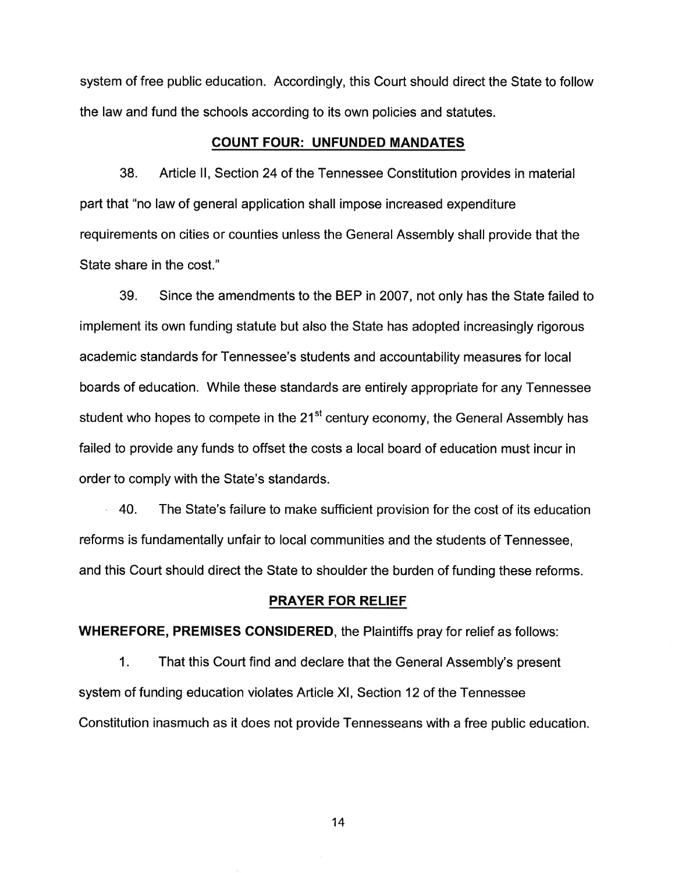system of free public education. Accordingly, this Court should direct the State to follow the law and fund the schools according to its own policies and statutes.

#### COUNT FOUR: UNFUNDED MANDATES

38. Article ll, Section 24 ot the Tennessee Constitution provides in material part that "no law of general application shall impose increased expenditure requirements on cities or counties unless the General Assembly shall provide that the State share in the cost."

39. Since the amendments to the BEP in 2007, not only has the State failed to implement its own funding statute but also the State has adopted increasingly rigorous academic standards for Tennessee's students and accountability measures for local boards of education. While these standards are entirely appropriate for any Tennessee student who hopes to compete in the  $21<sup>st</sup>$  century economy, the General Assembly has failed to provide any funds to offset the costs a local board of education must incur in order to comply with the State's standards.

40. The State's failure to make sufficient provision for the cost of its education reforms is fundamentally unfair to local communities and the students of Tennessee, and this Court should direct the State to shoulder the burden of funding these reforms.

### PRAYER FOR RELIEF

WHEREFORE, PREMISES CONSIDERED, the Plaintiffs pray for relief as follows:

1. That this Court find and declare that the General Assembly's present system of funding education violates Article Xl, Section 12 of the Tennessee Constitution inasmuch as it does not provide Tennesseans with a free public education.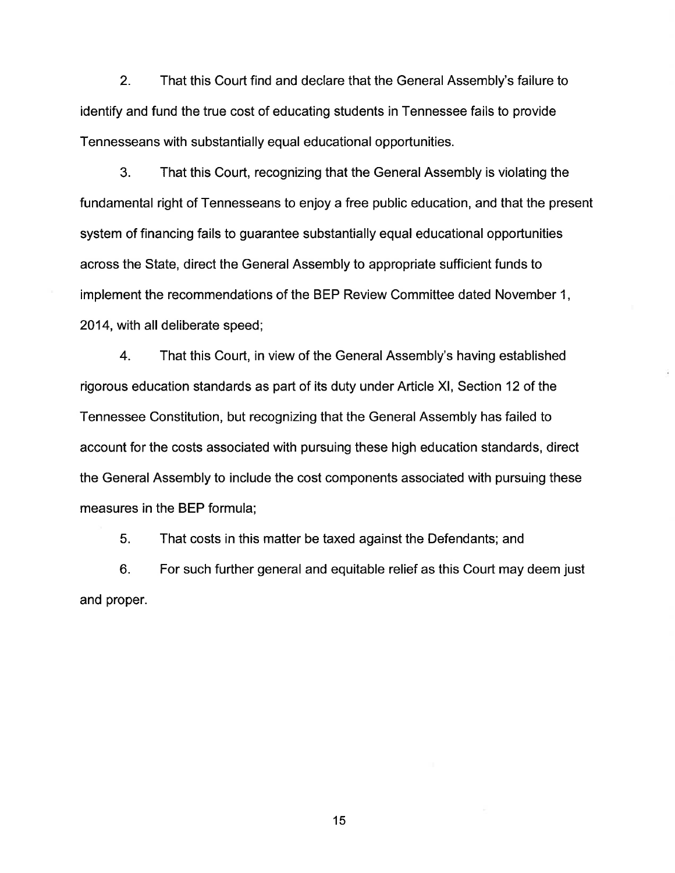2. That this Court find and declare that the General Assembly's failure to identify and fund the true cost of educating students in Tennessee fails to provide Tennesseans with substantially equal educational opportunities.

3. That this Court, recognizing that the General Assembly is violating the fundamental right of Tennesseans to enjoy a free public education, and that the present system of financing fails to guarantee substantially equal educational opportunities across the State, direct the General Assembly to appropriate sufficient funds to implement the recommendations of the BEP Review Committee dated November 1, 2014, with all deliberate speed;

4. That this Court, in view of the General Assembly's having established rigorous education standards as part of its duty under Article Xl, Section 12 of the Tennessee Constitution, but recognizing that the General Assembly has failed to account for the costs associated with pursuing these high education standards, direct the General Assembly to include the cost components associated with pursuing these measures in the BEP formula;

5. That costs in this matter be taxed against the Defendants; and

6. For such further general and equitable relief as this Court may deem just and proper.